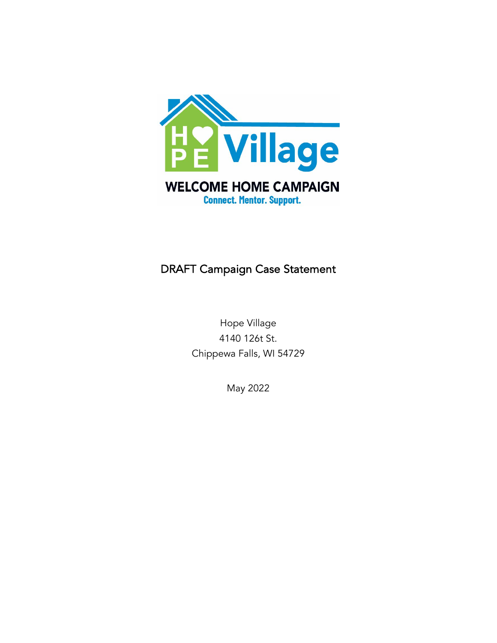

# DRAFT Campaign Case Statement

Hope Village 4140 126t St. Chippewa Falls, WI 54729

May 2022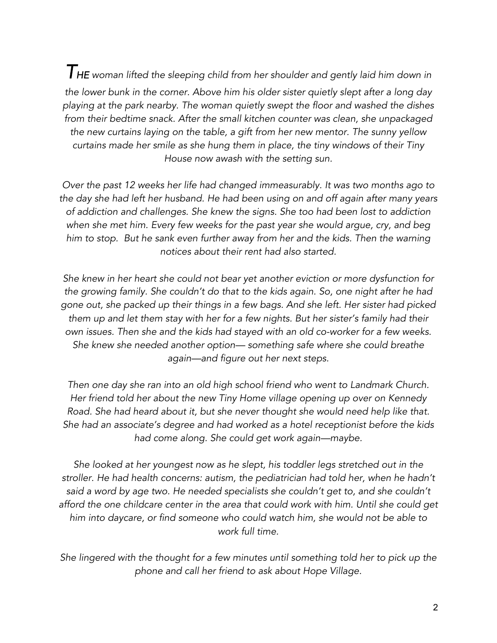*THE woman lifted the sleeping child from her shoulder and gently laid him down in the lower bunk in the corner. Above him his older sister quietly slept after a long day playing at the park nearby. The woman quietly swept the floor and washed the dishes from their bedtime snack. After the small kitchen counter was clean, she unpackaged the new curtains laying on the table, a gift from her new mentor. The sunny yellow curtains made her smile as she hung them in place, the tiny windows of their Tiny House now awash with the setting sun.*

*Over the past 12 weeks her life had changed immeasurably. It was two months ago to the day she had left her husband. He had been using on and off again after many years of addiction and challenges. She knew the signs. She too had been lost to addiction when she met him. Every few weeks for the past year she would argue, cry, and beg him to stop. But he sank even further away from her and the kids. Then the warning notices about their rent had also started.*

*She knew in her heart she could not bear yet another eviction or more dysfunction for the growing family. She couldn't do that to the kids again. So, one night after he had gone out, she packed up their things in a few bags. And she left. Her sister had picked them up and let them stay with her for a few nights. But her sister's family had their own issues. Then she and the kids had stayed with an old co-worker for a few weeks. She knew she needed another option— something safe where she could breathe again—and figure out her next steps.*

*Then one day she ran into an old high school friend who went to Landmark Church. Her friend told her about the new Tiny Home village opening up over on Kennedy Road. She had heard about it, but she never thought she would need help like that. She had an associate's degree and had worked as a hotel receptionist before the kids had come along. She could get work again—maybe.*

*She looked at her youngest now as he slept, his toddler legs stretched out in the stroller. He had health concerns: autism, the pediatrician had told her, when he hadn't*  said a word by age two. He needed specialists she couldn't get to, and she couldn't *afford the one childcare center in the area that could work with him. Until she could get him into daycare, or find someone who could watch him, she would not be able to work full time.*

*She lingered with the thought for a few minutes until something told her to pick up the phone and call her friend to ask about Hope Village.*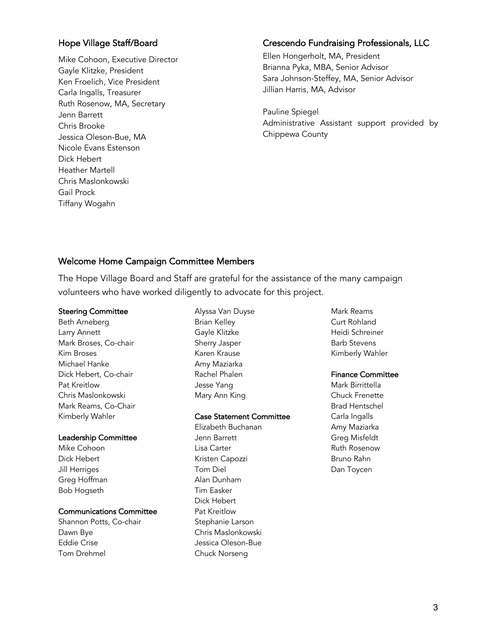#### Hope Village Staff/Board

Mike Cohoon, Executive Director Gayle Klitzke, President Ken Froelich, Vice President Carla Ingalls, Treasurer Ruth Rosenow, MA, Secretary Jenn Barrett Chris Brooke Jessica Oleson-Bue, MA Nicole Evans Estenson Dick Hebert Heather Martell Chris Maslonkowski Gail Prock Tiffany Wogahn

#### Crescendo Fundraising Professionals, LLC

Ellen Hongerholt, MA, President Brianna Pyka, MBA, Senior Advisor Sara Johnson-Steffey, MA, Senior Advisor Jillian Harris, MA, Advisor

Pauline Spiegel Administrative Assistant support provided by Chippewa County

### Welcome Home Campaign Committee Members

The Hope Village Board and Staff are grateful for the assistance of the many campaign volunteers who have worked diligently to advocate for this project.

#### Steering Committee

Beth Arneberg Larry Annett Mark Broses, Co-chair Kim Broses Michael Hanke Dick Hebert, Co-chair Pat Kreitlow Chris Maslonkowski Mark Reams, Co-Chair Kimberly Wahler

#### Leadership Committee

Mike Cohoon Dick Hebert Jill Herriges Greg Hoffman Bob Hogseth

#### Communications Committee

Shannon Potts, Co-chair Dawn Bye Eddie Crise Tom Drehmel

Alyssa Van Duyse Brian Kelley Gayle Klitzke Sherry Jasper Karen Krause Amy Maziarka Rachel Phalen Jesse Yang Mary Ann King

#### Case Statement Committee

Elizabeth Buchanan Jenn Barrett Lisa Carter Kristen Capozzi Tom Diel Alan Dunham Tim Easker Dick Hebert Pat Kreitlow Stephanie Larson Chris Maslonkowski Jessica Oleson-Bue Chuck Norseng

Mark Reams Curt Rohland Heidi Schreiner Barb Stevens Kimberly Wahler

#### Finance Committee

Mark Birrittella Chuck Frenette Brad Hentschel Carla Ingalls Amy Maziarka Greg Misfeldt Ruth Rosenow Bruno Rahn Dan Toycen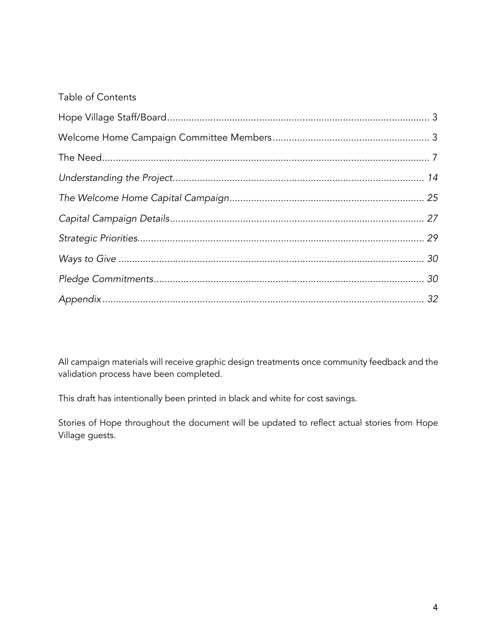## Table of Contents

All campaign materials will receive graphic design treatments once community feedback and the validation process have been completed.

This draft has intentionally been printed in black and white for cost savings.

Stories of Hope throughout the document will be updated to reflect actual stories from Hope Village guests.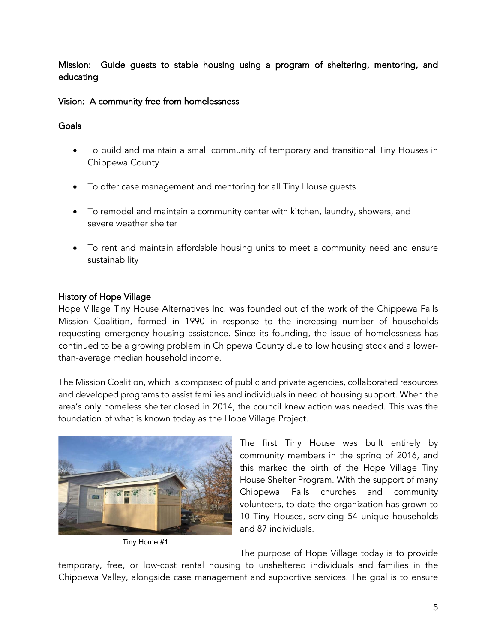Mission: Guide guests to stable housing using a program of sheltering, mentoring, and educating

### Vision: A community free from homelessness

### **Goals**

- To build and maintain a small community of temporary and transitional Tiny Houses in Chippewa County
- To offer case management and mentoring for all Tiny House guests
- To remodel and maintain a community center with kitchen, laundry, showers, and severe weather shelter
- To rent and maintain affordable housing units to meet a community need and ensure sustainability

### History of Hope Village

Hope Village Tiny House Alternatives Inc. was founded out of the work of the Chippewa Falls Mission Coalition, formed in 1990 in response to the increasing number of households requesting emergency housing assistance. Since its founding, the issue of homelessness has continued to be a growing problem in Chippewa County due to low housing stock and a lowerthan-average median household income.

The Mission Coalition, which is composed of public and private agencies, collaborated resources and developed programs to assist families and individuals in need of housing support. When the area's only homeless shelter closed in 2014, the council knew action was needed. This was the foundation of what is known today as the Hope Village Project.



Tiny Home #1

The first Tiny House was built entirely by community members in the spring of 2016, and this marked the birth of the Hope Village Tiny House Shelter Program. With the support of many Chippewa Falls churches and community volunteers, to date the organization has grown to 10 Tiny Houses, servicing 54 unique households and 87 individuals.

The purpose of Hope Village today is to provide

temporary, free, or low-cost rental housing to unsheltered individuals and families in the Chippewa Valley, alongside case management and supportive services. The goal is to ensure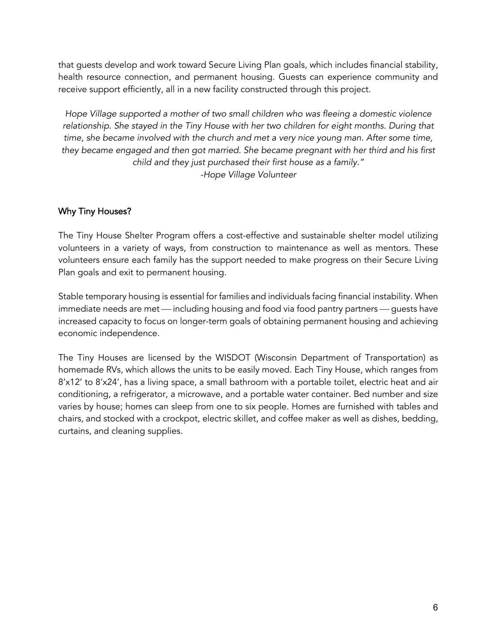that guests develop and work toward Secure Living Plan goals, which includes financial stability, health resource connection, and permanent housing. Guests can experience community and receive support efficiently, all in a new facility constructed through this project.

*Hope Village supported a mother of two small children who was fleeing a domestic violence relationship. She stayed in the Tiny House with her two children for eight months. During that time, she became involved with the church and met a very nice young man. After some time, they became engaged and then got married. She became pregnant with her third and his first child and they just purchased their first house as a family." -Hope Village Volunteer*

### Why Tiny Houses?

The Tiny House Shelter Program offers a cost-effective and sustainable shelter model utilizing volunteers in a variety of ways, from construction to maintenance as well as mentors. These volunteers ensure each family has the support needed to make progress on their Secure Living Plan goals and exit to permanent housing.

Stable temporary housing is essential for families and individuals facing financial instability. When immediate needs are met — including housing and food via food pantry partners — guests have increased capacity to focus on longer-term goals of obtaining permanent housing and achieving economic independence.

The Tiny Houses are licensed by the WISDOT (Wisconsin Department of Transportation) as homemade RVs, which allows the units to be easily moved. Each Tiny House, which ranges from 8'x12' to 8'x24', has a living space, a small bathroom with a portable toilet, electric heat and air conditioning, a refrigerator, a microwave, and a portable water container. Bed number and size varies by house; homes can sleep from one to six people. Homes are furnished with tables and chairs, and stocked with a crockpot, electric skillet, and coffee maker as well as dishes, bedding, curtains, and cleaning supplies.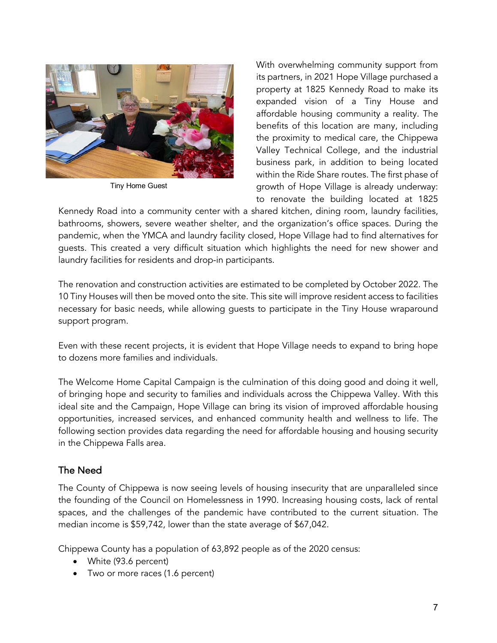

Tiny Home Guest

With overwhelming community support from its partners, in 2021 Hope Village purchased a property at 1825 Kennedy Road to make its expanded vision of a Tiny House and affordable housing community a reality. The benefits of this location are many, including the proximity to medical care, the Chippewa Valley Technical College, and the industrial business park, in addition to being located within the Ride Share routes. The first phase of growth of Hope Village is already underway: to renovate the building located at 1825

Kennedy Road into a community center with a shared kitchen, dining room, laundry facilities, bathrooms, showers, severe weather shelter, and the organization's office spaces. During the pandemic, when the YMCA and laundry facility closed, Hope Village had to find alternatives for guests. This created a very difficult situation which highlights the need for new shower and laundry facilities for residents and drop-in participants.

The renovation and construction activities are estimated to be completed by October 2022. The 10 Tiny Houses will then be moved onto the site. This site will improve resident access to facilities necessary for basic needs, while allowing guests to participate in the Tiny House wraparound support program.

Even with these recent projects, it is evident that Hope Village needs to expand to bring hope to dozens more families and individuals.

The Welcome Home Capital Campaign is the culmination of this doing good and doing it well, of bringing hope and security to families and individuals across the Chippewa Valley. With this ideal site and the Campaign, Hope Village can bring its vision of improved affordable housing opportunities, increased services, and enhanced community health and wellness to life. The following section provides data regarding the need for affordable housing and housing security in the Chippewa Falls area.

## The Need

The County of Chippewa is now seeing levels of housing insecurity that are unparalleled since the founding of the Council on Homelessness in 1990. Increasing housing costs, lack of rental spaces, and the challenges of the pandemic have contributed to the current situation. The median income is \$59,742, lower than the state average of \$67,042.

Chippewa County has a population of 63,892 people as of the 2020 census:

- White (93.6 percent)
- Two or more races (1.6 percent)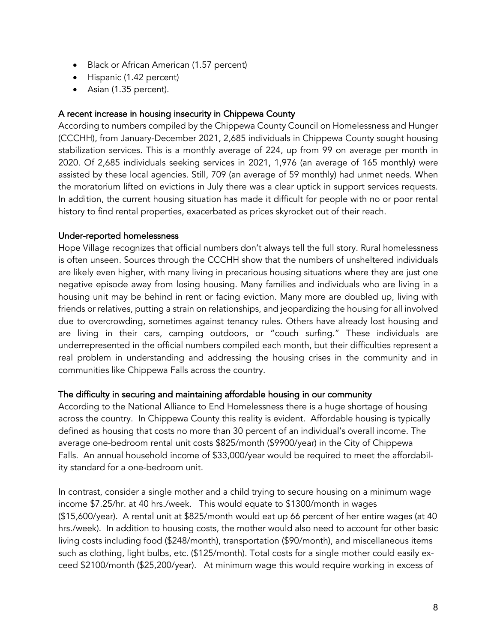- Black or African American (1.57 percent)
- Hispanic (1.42 percent)
- Asian (1.35 percent).

### A recent increase in housing insecurity in Chippewa County

According to numbers compiled by the Chippewa County Council on Homelessness and Hunger (CCCHH), from January-December 2021, 2,685 individuals in Chippewa County sought housing stabilization services. This is a monthly average of 224, up from 99 on average per month in 2020. Of 2,685 individuals seeking services in 2021, 1,976 (an average of 165 monthly) were assisted by these local agencies. Still, 709 (an average of 59 monthly) had unmet needs. When the moratorium lifted on evictions in July there was a clear uptick in support services requests. In addition, the current housing situation has made it difficult for people with no or poor rental history to find rental properties, exacerbated as prices skyrocket out of their reach.

#### Under-reported homelessness

Hope Village recognizes that official numbers don't always tell the full story. Rural homelessness is often unseen. Sources through the CCCHH show that the numbers of unsheltered individuals are likely even higher, with many living in precarious housing situations where they are just one negative episode away from losing housing. Many families and individuals who are living in a housing unit may be behind in rent or facing eviction. Many more are doubled up, living with friends or relatives, putting a strain on relationships, and jeopardizing the housing for all involved due to overcrowding, sometimes against tenancy rules. Others have already lost housing and are living in their cars, camping outdoors, or "couch surfing." These individuals are underrepresented in the official numbers compiled each month, but their difficulties represent a real problem in understanding and addressing the housing crises in the community and in communities like Chippewa Falls across the country.

#### The difficulty in securing and maintaining affordable housing in our community

According to the National Alliance to End Homelessness there is a huge shortage of housing across the country. In Chippewa County this reality is evident. Affordable housing is typically defined as housing that costs no more than 30 percent of an individual's overall income. The average one-bedroom rental unit costs \$825/month (\$9900/year) in the City of Chippewa Falls. An annual household income of \$33,000/year would be required to meet the affordability standard for a one-bedroom unit.

In contrast, consider a single mother and a child trying to secure housing on a minimum wage income \$7.25/hr. at 40 hrs./week. This would equate to \$1300/month in wages (\$15,600/year). A rental unit at \$825/month would eat up 66 percent of her entire wages (at 40 hrs./week). In addition to housing costs, the mother would also need to account for other basic living costs including food (\$248/month), transportation (\$90/month), and miscellaneous items such as clothing, light bulbs, etc. (\$125/month). Total costs for a single mother could easily exceed \$2100/month (\$25,200/year). At minimum wage this would require working in excess of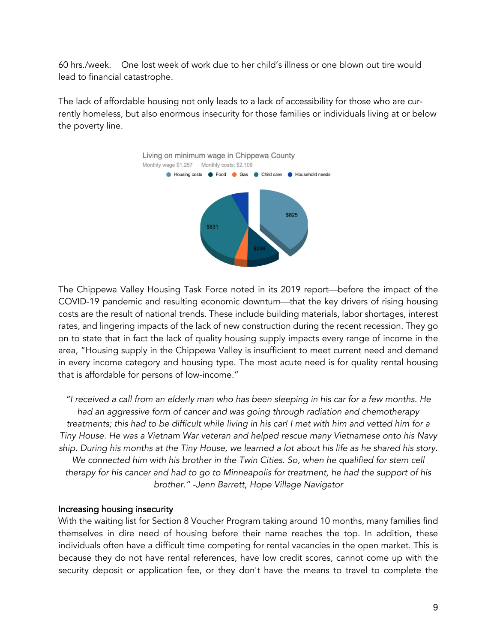60 hrs./week. One lost week of work due to her child's illness or one blown out tire would lead to financial catastrophe.

The lack of affordable housing not only leads to a lack of accessibility for those who are currently homeless, but also enormous insecurity for those families or individuals living at or below the poverty line.



The Chippewa Valley Housing Task Force noted in its 2019 report—before the impact of the COVID-19 pandemic and resulting economic downturn—that the key drivers of rising housing costs are the result of national trends. These include building materials, labor shortages, interest rates, and lingering impacts of the lack of new construction during the recent recession. They go on to state that in fact the lack of quality housing supply impacts every range of income in the area, "Housing supply in the Chippewa Valley is insufficient to meet current need and demand in every income category and housing type. The most acute need is for quality rental housing that is affordable for persons of low-income."

*"I received a call from an elderly man who has been sleeping in his car for a few months. He had an aggressive form of cancer and was going through radiation and chemotherapy treatments; this had to be difficult while living in his car! I met with him and vetted him for a Tiny House. He was a Vietnam War veteran and helped rescue many Vietnamese onto his Navy ship. During his months at the Tiny House, we learned a lot about his life as he shared his story. We connected him with his brother in the Twin Cities. So, when he qualified for stem cell therapy for his cancer and had to go to Minneapolis for treatment, he had the support of his brother." -Jenn Barrett, Hope Village Navigator*

#### Increasing housing insecurity

With the waiting list for Section 8 Voucher Program taking around 10 months, many families find themselves in dire need of housing before their name reaches the top. In addition, these individuals often have a difficult time competing for rental vacancies in the open market. This is because they do not have rental references, have low credit scores, cannot come up with the security deposit or application fee, or they don't have the means to travel to complete the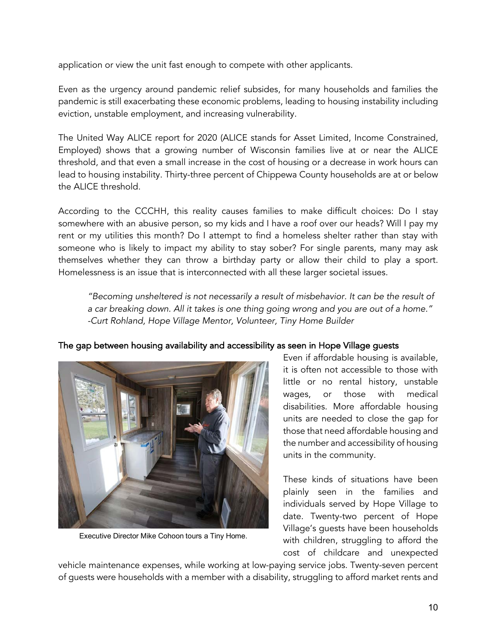application or view the unit fast enough to compete with other applicants.

Even as the urgency around pandemic relief subsides, for many households and families the pandemic is still exacerbating these economic problems, leading to housing instability including eviction, unstable employment, and increasing vulnerability.

The United Way ALICE report for 2020 (ALICE stands for Asset Limited, Income Constrained, Employed) shows that a growing number of Wisconsin families live at or near the ALICE threshold, and that even a small increase in the cost of housing or a decrease in work hours can lead to housing instability. Thirty-three percent of Chippewa County households are at or below the ALICE threshold.

According to the CCCHH, this reality causes families to make difficult choices: Do I stay somewhere with an abusive person, so my kids and I have a roof over our heads? Will I pay my rent or my utilities this month? Do I attempt to find a homeless shelter rather than stay with someone who is likely to impact my ability to stay sober? For single parents, many may ask themselves whether they can throw a birthday party or allow their child to play a sport. Homelessness is an issue that is interconnected with all these larger societal issues.

*"Becoming unsheltered is not necessarily a result of misbehavior. It can be the result of a car breaking down. All it takes is one thing going wrong and you are out of a home." -Curt Rohland, Hope Village Mentor, Volunteer, Tiny Home Builder*





Executive Director Mike Cohoon tours a Tiny Home.

Even if affordable housing is available, it is often not accessible to those with little or no rental history, unstable wages, or those with medical disabilities. More affordable housing units are needed to close the gap for those that need affordable housing and the number and accessibility of housing units in the community.

These kinds of situations have been plainly seen in the families and individuals served by Hope Village to date. Twenty-two percent of Hope Village's guests have been households with children, struggling to afford the cost of childcare and unexpected

vehicle maintenance expenses, while working at low-paying service jobs. Twenty-seven percent of guests were households with a member with a disability, struggling to afford market rents and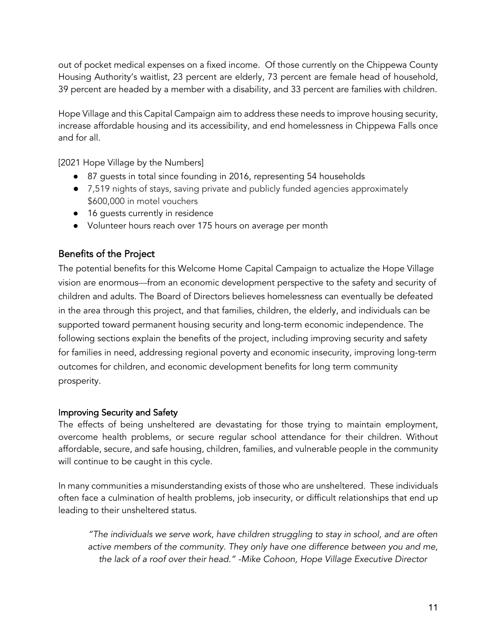out of pocket medical expenses on a fixed income. Of those currently on the Chippewa County Housing Authority's waitlist, 23 percent are elderly, 73 percent are female head of household, 39 percent are headed by a member with a disability, and 33 percent are families with children.

Hope Village and this Capital Campaign aim to address these needs to improve housing security, increase affordable housing and its accessibility, and end homelessness in Chippewa Falls once and for all.

[2021 Hope Village by the Numbers]

- 87 guests in total since founding in 2016, representing 54 households
- 7,519 nights of stays, saving private and publicly funded agencies approximately \$600,000 in motel vouchers
- 16 quests currently in residence
- Volunteer hours reach over 175 hours on average per month

## Benefits of the Project

The potential benefits for this Welcome Home Capital Campaign to actualize the Hope Village vision are enormous—from an economic development perspective to the safety and security of children and adults. The Board of Directors believes homelessness can eventually be defeated in the area through this project, and that families, children, the elderly, and individuals can be supported toward permanent housing security and long-term economic independence. The following sections explain the benefits of the project, including improving security and safety for families in need, addressing regional poverty and economic insecurity, improving long-term outcomes for children, and economic development benefits for long term community prosperity.

#### Improving Security and Safety

The effects of being unsheltered are devastating for those trying to maintain employment, overcome health problems, or secure regular school attendance for their children. Without affordable, secure, and safe housing, children, families, and vulnerable people in the community will continue to be caught in this cycle.

In many communities a misunderstanding exists of those who are unsheltered. These individuals often face a culmination of health problems, job insecurity, or difficult relationships that end up leading to their unsheltered status.

*"The individuals we serve work, have children struggling to stay in school, and are often active members of the community. They only have one difference between you and me, the lack of a roof over their head." -Mike Cohoon, Hope Village Executive Director*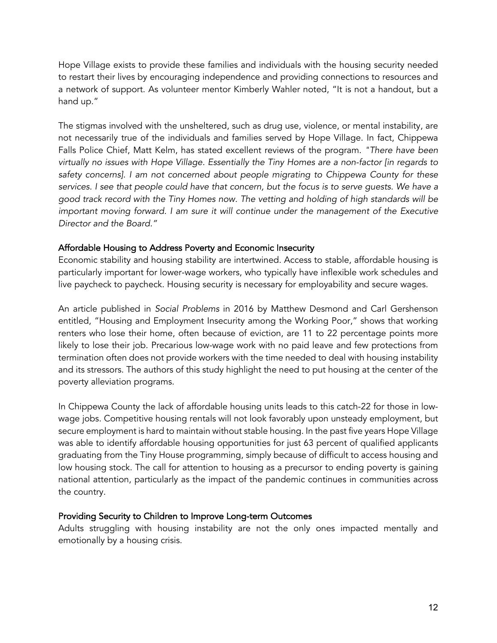Hope Village exists to provide these families and individuals with the housing security needed to restart their lives by encouraging independence and providing connections to resources and a network of support. As volunteer mentor Kimberly Wahler noted, "It is not a handout, but a hand up."

The stigmas involved with the unsheltered, such as drug use, violence, or mental instability, are not necessarily true of the individuals and families served by Hope Village. In fact, Chippewa Falls Police Chief, Matt Kelm, has stated excellent reviews of the program. *"There have been virtually no issues with Hope Village. Essentially the Tiny Homes are a non-factor [in regards to safety concerns]. I am not concerned about people migrating to Chippewa County for these*  services. I see that people could have that concern, but the focus is to serve guests. We have a *good track record with the Tiny Homes now. The vetting and holding of high standards will be important moving forward. I am sure it will continue under the management of the Executive Director and the Board."*

#### Affordable Housing to Address Poverty and Economic Insecurity

Economic stability and housing stability are intertwined. Access to stable, affordable housing is particularly important for lower-wage workers, who typically have inflexible work schedules and live paycheck to paycheck. Housing security is necessary for employability and secure wages.

An article published in *Social Problems* in 2016 by Matthew Desmond and Carl Gershenson entitled, "Housing and Employment Insecurity among the Working Poor," shows that working renters who lose their home, often because of eviction, are 11 to 22 percentage points more likely to lose their job. Precarious low-wage work with no paid leave and few protections from termination often does not provide workers with the time needed to deal with housing instability and its stressors. The authors of this study highlight the need to put housing at the center of the poverty alleviation programs.

In Chippewa County the lack of affordable housing units leads to this catch-22 for those in lowwage jobs. Competitive housing rentals will not look favorably upon unsteady employment, but secure employment is hard to maintain without stable housing. In the past five years Hope Village was able to identify affordable housing opportunities for just 63 percent of qualified applicants graduating from the Tiny House programming, simply because of difficult to access housing and low housing stock. The call for attention to housing as a precursor to ending poverty is gaining national attention, particularly as the impact of the pandemic continues in communities across the country.

#### Providing Security to Children to Improve Long-term Outcomes

Adults struggling with housing instability are not the only ones impacted mentally and emotionally by a housing crisis.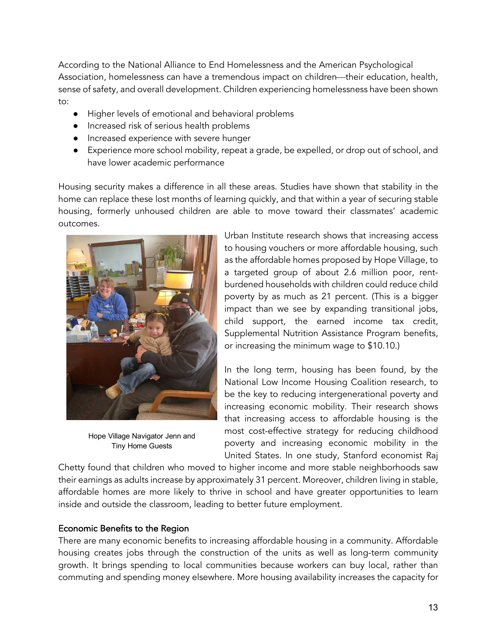According to the National Alliance to End Homelessness and the American Psychological Association, homelessness can have a tremendous impact on children—their education, health, sense of safety, and overall development. Children experiencing homelessness have been shown to:

- Higher levels of emotional and behavioral problems
- Increased risk of serious health problems
- Increased experience with severe hunger
- Experience more school mobility, repeat a grade, be expelled, or drop out of school, and have lower academic performance

Housing security makes a difference in all these areas. Studies have shown that stability in the home can replace these lost months of learning quickly, and that within a year of securing stable housing, formerly unhoused children are able to move toward their classmates' academic outcomes.



Hope Village Navigator Jenn and Tiny Home Guests

Urban Institute research shows that increasing access to housing vouchers or more affordable housing, such as the affordable homes proposed by Hope Village, to a targeted group of about 2.6 million poor, rentburdened households with children could reduce child poverty by as much as 21 percent. (This is a bigger impact than we see by expanding transitional jobs, child support, the earned income tax credit, Supplemental Nutrition Assistance Program benefits, or increasing the minimum wage to \$10.10.)

In the long term, housing has been found, by the National Low Income Housing Coalition research, to be the key to reducing intergenerational poverty and increasing economic mobility. Their research shows that increasing access to affordable housing is the most cost-effective strategy for reducing childhood poverty and increasing economic mobility in the United States. In one study, Stanford economist Raj

Chetty found that children who moved to higher income and more stable neighborhoods saw their earnings as adults increase by approximately 31 percent. Moreover, children living in stable, affordable homes are more likely to thrive in school and have greater opportunities to learn inside and outside the classroom, leading to better future employment.

#### Economic Benefits to the Region

There are many economic benefits to increasing affordable housing in a community. Affordable housing creates jobs through the construction of the units as well as long-term community growth. It brings spending to local communities because workers can buy local, rather than commuting and spending money elsewhere. More housing availability increases the capacity for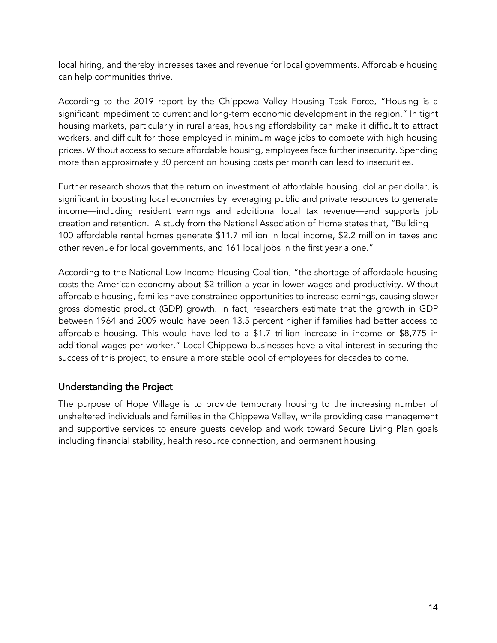local hiring, and thereby increases taxes and revenue for local governments. Affordable housing can help communities thrive.

According to the 2019 report by the Chippewa Valley Housing Task Force, "Housing is a significant impediment to current and long-term economic development in the region." In tight housing markets, particularly in rural areas, housing affordability can make it difficult to attract workers, and difficult for those employed in minimum wage jobs to compete with high housing prices. Without access to secure affordable housing, employees face further insecurity. Spending more than approximately 30 percent on housing costs per month can lead to insecurities.

Further research shows that the return on investment of affordable housing, dollar per dollar, is significant in boosting local economies by leveraging public and private resources to generate income—including resident earnings and additional local tax revenue—and supports job creation and retention. A study from the National Association of Home states that, "Building 100 affordable rental homes generate \$11.7 million in local income, \$2.2 million in taxes and other revenue for local governments, and 161 local jobs in the first year alone."

According to the National Low-Income Housing Coalition, "the shortage of affordable housing costs the American economy about \$2 trillion a year in lower wages and productivity. Without affordable housing, families have constrained opportunities to increase earnings, causing slower gross domestic product (GDP) growth. In fact, researchers estimate that the growth in GDP between 1964 and 2009 would have been 13.5 percent higher if families had better access to affordable housing. This would have led to a \$1.7 trillion increase in income or \$8,775 in additional wages per worker." Local Chippewa businesses have a vital interest in securing the success of this project, to ensure a more stable pool of employees for decades to come.

### Understanding the Project

The purpose of Hope Village is to provide temporary housing to the increasing number of unsheltered individuals and families in the Chippewa Valley, while providing case management and supportive services to ensure guests develop and work toward Secure Living Plan goals including financial stability, health resource connection, and permanent housing.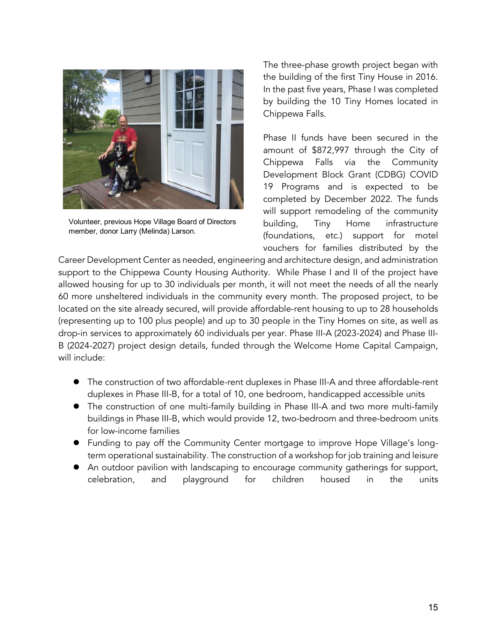

Volunteer, previous Hope Village Board of Directors member, donor Larry (Melinda) Larson.

The three-phase growth project began with the building of the first Tiny House in 2016. In the past five years, Phase I was completed by building the 10 Tiny Homes located in Chippewa Falls.

Phase II funds have been secured in the amount of \$872,997 through the City of Chippewa Falls via the Community Development Block Grant (CDBG) COVID 19 Programs and is expected to be completed by December 2022. The funds will support remodeling of the community building, Tiny Home infrastructure (foundations, etc.) support for motel vouchers for families distributed by the

Career Development Center as needed, engineering and architecture design, and administration support to the Chippewa County Housing Authority. While Phase I and II of the project have allowed housing for up to 30 individuals per month, it will not meet the needs of all the nearly 60 more unsheltered individuals in the community every month. The proposed project, to be located on the site already secured, will provide affordable-rent housing to up to 28 households (representing up to 100 plus people) and up to 30 people in the Tiny Homes on site, as well as drop-in services to approximately 60 individuals per year. Phase III-A (2023-2024) and Phase III-B (2024-2027) project design details, funded through the Welcome Home Capital Campaign, will include:

- **•** The construction of two affordable-rent duplexes in Phase III-A and three affordable-rent duplexes in Phase III-B, for a total of 10, one bedroom, handicapped accessible units
- The construction of one multi-family building in Phase III-A and two more multi-family buildings in Phase III-B, which would provide 12, two-bedroom and three-bedroom units for low-income families
- Funding to pay off the Community Center mortgage to improve Hope Village's longterm operational sustainability. The construction of a workshop for job training and leisure
- An outdoor pavilion with landscaping to encourage community gatherings for support, celebration, and playground for children housed in the units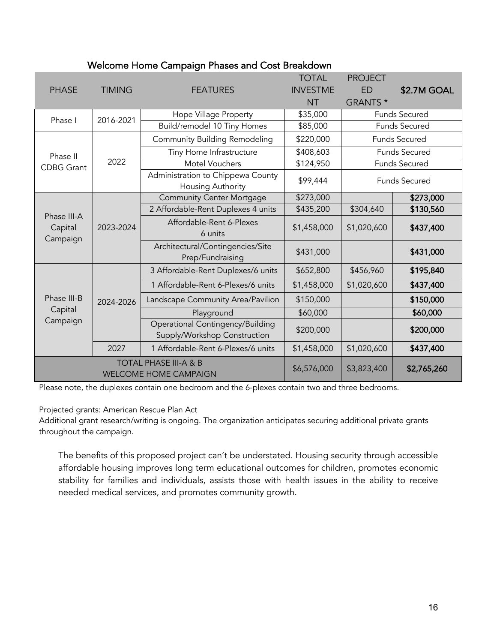| <b>PHASE</b>                                                     | <b>TIMING</b> | <b>FEATURES</b>                                                  | <b>TOTAL</b><br><b>INVESTME</b><br><b>NT</b> | <b>PROJECT</b><br><b>ED</b><br>GRANTS * | \$2.7M GOAL          |
|------------------------------------------------------------------|---------------|------------------------------------------------------------------|----------------------------------------------|-----------------------------------------|----------------------|
| Phase I                                                          | 2016-2021     | Hope Village Property                                            | \$35,000                                     |                                         | <b>Funds Secured</b> |
|                                                                  |               | Build/remodel 10 Tiny Homes                                      | \$85,000                                     | <b>Funds Secured</b>                    |                      |
| Phase II<br><b>CDBG Grant</b>                                    | 2022          | <b>Community Building Remodeling</b>                             | \$220,000                                    | Funds Secured                           |                      |
|                                                                  |               | Tiny Home Infrastructure                                         | \$408,603                                    | <b>Funds Secured</b>                    |                      |
|                                                                  |               | <b>Motel Vouchers</b>                                            | \$124,950                                    | <b>Funds Secured</b>                    |                      |
|                                                                  |               | Administration to Chippewa County<br>Housing Authority           | \$99,444                                     | <b>Funds Secured</b>                    |                      |
| Phase III-A<br>Capital<br>Campaign                               | 2023-2024     | <b>Community Center Mortgage</b>                                 | \$273,000                                    |                                         | \$273,000            |
|                                                                  |               | 2 Affordable-Rent Duplexes 4 units                               | \$435,200                                    | \$304,640                               | \$130,560            |
|                                                                  |               | Affordable-Rent 6-Plexes<br>6 units                              | \$1,458,000                                  | \$1,020,600                             | \$437,400            |
|                                                                  |               | Architectural/Contingencies/Site<br>Prep/Fundraising             | \$431,000                                    |                                         | \$431,000            |
| Phase III-B<br>Capital<br>Campaign                               | 2024-2026     | 3 Affordable-Rent Duplexes/6 units                               | \$652,800                                    | \$456,960                               | \$195,840            |
|                                                                  |               | 1 Affordable-Rent 6-Plexes/6 units                               | \$1,458,000                                  | \$1,020,600                             | \$437,400            |
|                                                                  |               | Landscape Community Area/Pavilion                                | \$150,000                                    |                                         | \$150,000            |
|                                                                  |               | Playground                                                       | \$60,000                                     |                                         | \$60,000             |
|                                                                  |               | Operational Contingency/Building<br>Supply/Workshop Construction | \$200,000                                    |                                         | \$200,000            |
|                                                                  | 2027          | 1 Affordable-Rent 6-Plexes/6 units                               | \$1,458,000                                  | \$1,020,600                             | \$437,400            |
| <b>TOTAL PHASE III-A &amp; B</b><br><b>WELCOME HOME CAMPAIGN</b> |               |                                                                  | \$6,576,000                                  | \$3,823,400                             | \$2,765,260          |

### Welcome Home Campaign Phases and Cost Breakdown

Please note, the duplexes contain one bedroom and the 6-plexes contain two and three bedrooms.

Projected grants: American Rescue Plan Act

Additional grant research/writing is ongoing. The organization anticipates securing additional private grants throughout the campaign.

The benefits of this proposed project can't be understated. Housing security through accessible affordable housing improves long term educational outcomes for children, promotes economic stability for families and individuals, assists those with health issues in the ability to receive needed medical services, and promotes community growth.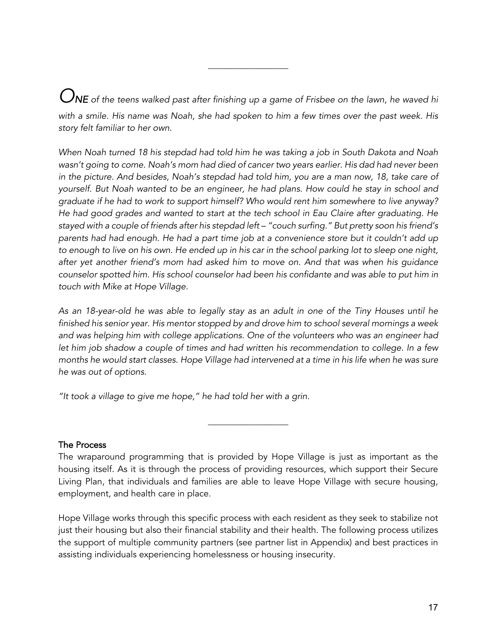*ONE of the teens walked past after finishing up a game of Frisbee on the lawn, he waved hi with a smile. His name was Noah, she had spoken to him a few times over the past week. His story felt familiar to her own.* 

\_\_\_\_\_\_\_\_\_\_\_\_\_\_\_\_\_\_

*When Noah turned 18 his stepdad had told him he was taking a job in South Dakota and Noah wasn't going to come. Noah's mom had died of cancer two years earlier. His dad had never been in the picture. And besides, Noah's stepdad had told him, you are a man now, 18, take care of yourself. But Noah wanted to be an engineer, he had plans. How could he stay in school and graduate if he had to work to support himself? Who would rent him somewhere to live anyway? He had good grades and wanted to start at the tech school in Eau Claire after graduating. He stayed with a couple of friends after his stepdad left – "couch surfing." But pretty soon his friend's parents had had enough. He had a part time job at a convenience store but it couldn't add up to enough to live on his own. He ended up in his car in the school parking lot to sleep one night, after yet another friend's mom had asked him to move on. And that was when his guidance counselor spotted him. His school counselor had been his confidante and was able to put him in touch with Mike at Hope Village.* 

*As an 18-year-old he was able to legally stay as an adult in one of the Tiny Houses until he finished his senior year. His mentor stopped by and drove him to school several mornings a week and was helping him with college applications. One of the volunteers who was an engineer had let him job shadow a couple of times and had written his recommendation to college. In a few months he would start classes. Hope Village had intervened at a time in his life when he was sure he was out of options.* 

*"It took a village to give me hope," he had told her with a grin.*

### The Process

The wraparound programming that is provided by Hope Village is just as important as the housing itself. As it is through the process of providing resources, which support their Secure Living Plan, that individuals and families are able to leave Hope Village with secure housing, employment, and health care in place.

 $\overline{\phantom{a}}$  , where  $\overline{\phantom{a}}$ 

Hope Village works through this specific process with each resident as they seek to stabilize not just their housing but also their financial stability and their health. The following process utilizes the support of multiple community partners (see partner list in Appendix) and best practices in assisting individuals experiencing homelessness or housing insecurity.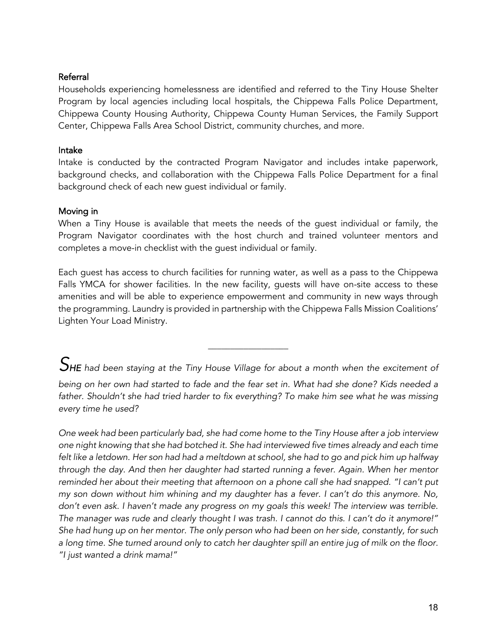#### Referral

Households experiencing homelessness are identified and referred to the Tiny House Shelter Program by local agencies including local hospitals, the Chippewa Falls Police Department, Chippewa County Housing Authority, Chippewa County Human Services, the Family Support Center, Chippewa Falls Area School District, community churches, and more.

#### Intake

Intake is conducted by the contracted Program Navigator and includes intake paperwork, background checks, and collaboration with the Chippewa Falls Police Department for a final background check of each new guest individual or family.

#### Moving in

When a Tiny House is available that meets the needs of the guest individual or family, the Program Navigator coordinates with the host church and trained volunteer mentors and completes a move-in checklist with the guest individual or family.

Each guest has access to church facilities for running water, as well as a pass to the Chippewa Falls YMCA for shower facilities. In the new facility, guests will have on-site access to these amenities and will be able to experience empowerment and community in new ways through the programming. Laundry is provided in partnership with the Chippewa Falls Mission Coalitions' Lighten Your Load Ministry.

*SHE had been staying at the Tiny House Village for about a month when the excitement of* 

\_\_\_\_\_\_\_\_\_\_\_\_\_\_\_\_\_\_

*being on her own had started to fade and the fear set in. What had she done? Kids needed a father. Shouldn't she had tried harder to fix everything? To make him see what he was missing every time he used?* 

*One week had been particularly bad, she had come home to the Tiny House after a job interview one night knowing that she had botched it. She had interviewed five times already and each time felt like a letdown. Her son had had a meltdown at school, she had to go and pick him up halfway through the day. And then her daughter had started running a fever. Again. When her mentor reminded her about their meeting that afternoon on a phone call she had snapped. "I can't put my son down without him whining and my daughter has a fever. I can't do this anymore. No, don't even ask. I haven't made any progress on my goals this week! The interview was terrible. The manager was rude and clearly thought I was trash. I cannot do this. I can't do it anymore!" She had hung up on her mentor. The only person who had been on her side, constantly, for such a long time. She turned around only to catch her daughter spill an entire jug of milk on the floor. "I just wanted a drink mama!"*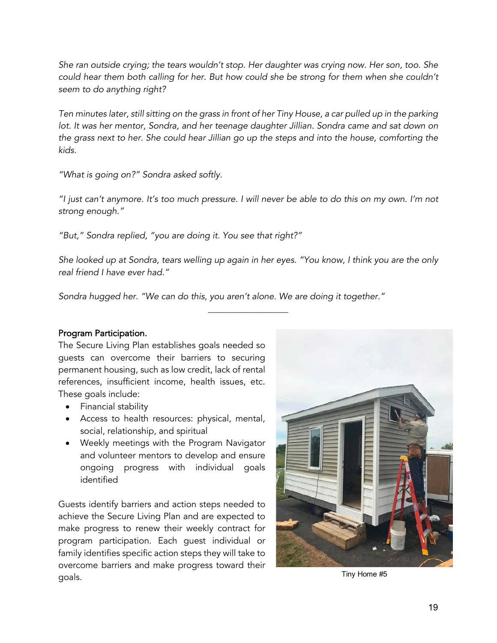*She ran outside crying; the tears wouldn't stop. Her daughter was crying now. Her son, too. She could hear them both calling for her. But how could she be strong for them when she couldn't seem to do anything right?*

*Ten minutes later, still sitting on the grass in front of her Tiny House, a car pulled up in the parking*  lot. It was her mentor, Sondra, and her teenage daughter Jillian. Sondra came and sat down on *the grass next to her. She could hear Jillian go up the steps and into the house, comforting the kids.* 

*"What is going on?" Sondra asked softly.*

*"I just can't anymore. It's too much pressure. I will never be able to do this on my own. I'm not strong enough."*

*"But," Sondra replied, "you are doing it. You see that right?"*

*She looked up at Sondra, tears welling up again in her eyes. "You know, I think you are the only real friend I have ever had."*

 $\overline{\phantom{a}}$  , where  $\overline{\phantom{a}}$ 

*Sondra hugged her. "We can do this, you aren't alone. We are doing it together."*

#### Program Participation.

The Secure Living Plan establishes goals needed so guests can overcome their barriers to securing permanent housing, such as low credit, lack of rental references, insufficient income, health issues, etc. These goals include:

- Financial stability
- Access to health resources: physical, mental, social, relationship, and spiritual
- Weekly meetings with the Program Navigator and volunteer mentors to develop and ensure ongoing progress with individual goals identified

Guests identify barriers and action steps needed to achieve the Secure Living Plan and are expected to make progress to renew their weekly contract for program participation. Each guest individual or family identifies specific action steps they will take to overcome barriers and make progress toward their goals. Tiny Home #5

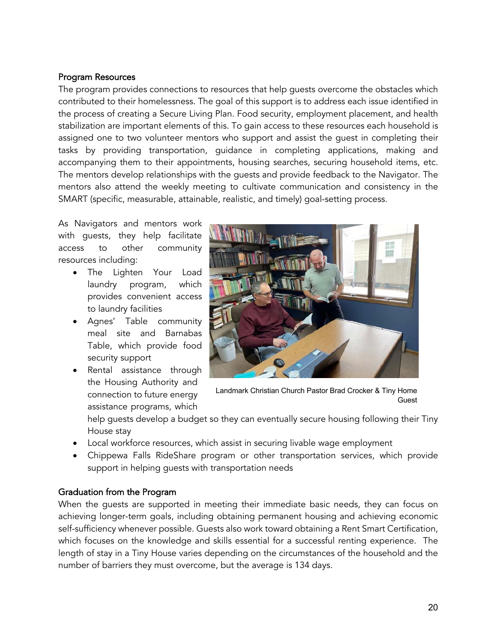#### Program Resources

The program provides connections to resources that help guests overcome the obstacles which contributed to their homelessness. The goal of this support is to address each issue identified in the process of creating a Secure Living Plan. Food security, employment placement, and health stabilization are important elements of this. To gain access to these resources each household is assigned one to two volunteer mentors who support and assist the guest in completing their tasks by providing transportation, guidance in completing applications, making and accompanying them to their appointments, housing searches, securing household items, etc. The mentors develop relationships with the guests and provide feedback to the Navigator. The mentors also attend the weekly meeting to cultivate communication and consistency in the SMART (specific, measurable, attainable, realistic, and timely) goal-setting process.

As Navigators and mentors work with guests, they help facilitate access to other community resources including:

- The Lighten Your Load laundry program, which provides convenient access to laundry facilities
- Agnes' Table community meal site and Barnabas Table, which provide food security support
- Rental assistance through the Housing Authority and connection to future energy assistance programs, which



Landmark Christian Church Pastor Brad Crocker & Tiny Home Guest

help guests develop a budget so they can eventually secure housing following their Tiny House stay

- Local workforce resources, which assist in securing livable wage employment
- Chippewa Falls RideShare program or other transportation services, which provide support in helping guests with transportation needs

### Graduation from the Program

When the guests are supported in meeting their immediate basic needs, they can focus on achieving longer-term goals, including obtaining permanent housing and achieving economic self-sufficiency whenever possible. Guests also work toward obtaining a Rent Smart Certification, which focuses on the knowledge and skills essential for a successful renting experience. The length of stay in a Tiny House varies depending on the circumstances of the household and the number of barriers they must overcome, but the average is 134 days.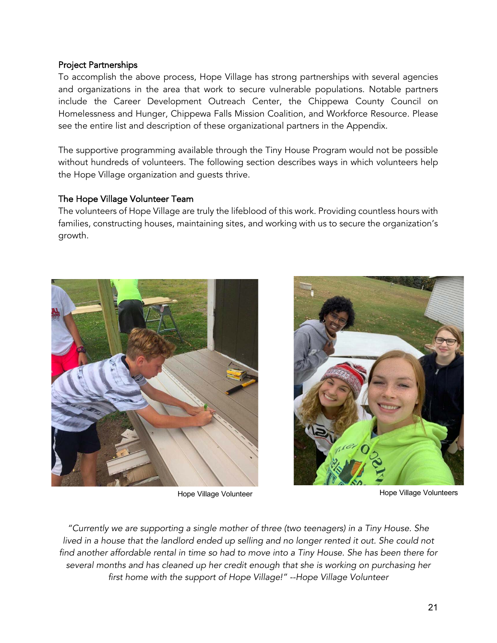#### Project Partnerships

To accomplish the above process, Hope Village has strong partnerships with several agencies and organizations in the area that work to secure vulnerable populations. Notable partners include the Career Development Outreach Center, the Chippewa County Council on Homelessness and Hunger, Chippewa Falls Mission Coalition, and Workforce Resource. Please see the entire list and description of these organizational partners in the Appendix.

The supportive programming available through the Tiny House Program would not be possible without hundreds of volunteers. The following section describes ways in which volunteers help the Hope Village organization and guests thrive.

#### The Hope Village Volunteer Team

The volunteers of Hope Village are truly the lifeblood of this work. Providing countless hours with families, constructing houses, maintaining sites, and working with us to secure the organization's growth.





Hope Village Volunteer **Hope Village Volunteers** 

*"Currently we are supporting a single mother of three (two teenagers) in a Tiny House. She*  lived in a house that the landlord ended up selling and no longer rented it out. She could not *find another affordable rental in time so had to move into a Tiny House. She has been there for several months and has cleaned up her credit enough that she is working on purchasing her first home with the support of Hope Village!" --Hope Village Volunteer*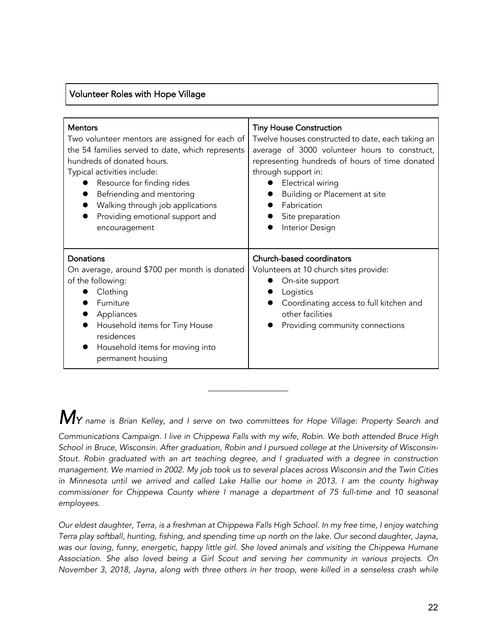### Volunteer Roles with Hope Village

| <b>Mentors</b>                                                                                                                                                                                                                 | <b>Tiny House Construction</b>                                                                                                                                                                        |
|--------------------------------------------------------------------------------------------------------------------------------------------------------------------------------------------------------------------------------|-------------------------------------------------------------------------------------------------------------------------------------------------------------------------------------------------------|
| Two volunteer mentors are assigned for each of                                                                                                                                                                                 | Twelve houses constructed to date, each taking an                                                                                                                                                     |
| the 54 families served to date, which represents                                                                                                                                                                               | average of 3000 volunteer hours to construct,                                                                                                                                                         |
| hundreds of donated hours.                                                                                                                                                                                                     | representing hundreds of hours of time donated                                                                                                                                                        |
| Typical activities include:                                                                                                                                                                                                    | through support in:                                                                                                                                                                                   |
| Resource for finding rides                                                                                                                                                                                                     | Electrical wiring                                                                                                                                                                                     |
| Befriending and mentoring                                                                                                                                                                                                      | Building or Placement at site                                                                                                                                                                         |
| Walking through job applications                                                                                                                                                                                               | Fabrication                                                                                                                                                                                           |
| Providing emotional support and                                                                                                                                                                                                | Site preparation                                                                                                                                                                                      |
| encouragement                                                                                                                                                                                                                  | Interior Design                                                                                                                                                                                       |
| Donations<br>On average, around \$700 per month is donated<br>of the following:<br>Clothing<br>Furniture<br>Appliances<br>Household items for Tiny House<br>residences<br>Household items for moving into<br>permanent housing | Church-based coordinators<br>Volunteers at 10 church sites provide:<br>On-site support<br>Logistics<br>Coordinating access to full kitchen and<br>other facilities<br>Providing community connections |

*MY name is Brian Kelley, and I serve on two committees for Hope Village: Property Search and* 

\_\_\_\_\_\_\_\_\_\_\_\_\_\_\_\_\_\_

*Communications Campaign. I live in Chippewa Falls with my wife, Robin. We both attended Bruce High School in Bruce, Wisconsin. After graduation, Robin and I pursued college at the University of Wisconsin-Stout. Robin graduated with an art teaching degree, and I graduated with a degree in construction management. We married in 2002. My job took us to several places across Wisconsin and the Twin Cities in Minnesota until we arrived and called Lake Hallie our home in 2013. I am the county highway commissioner for Chippewa County where I manage a department of 75 full-time and 10 seasonal employees.* 

*Our eldest daughter, Terra, is a freshman at Chippewa Falls High School. In my free time, I enjoy watching Terra play softball, hunting, fishing, and spending time up north on the lake. Our second daughter, Jayna, was our loving, funny, energetic, happy little girl. She loved animals and visiting the Chippewa Humane Association. She also loved being a Girl Scout and serving her community in various projects. On November 3, 2018, Jayna, along with three others in her troop, were killed in a senseless crash while*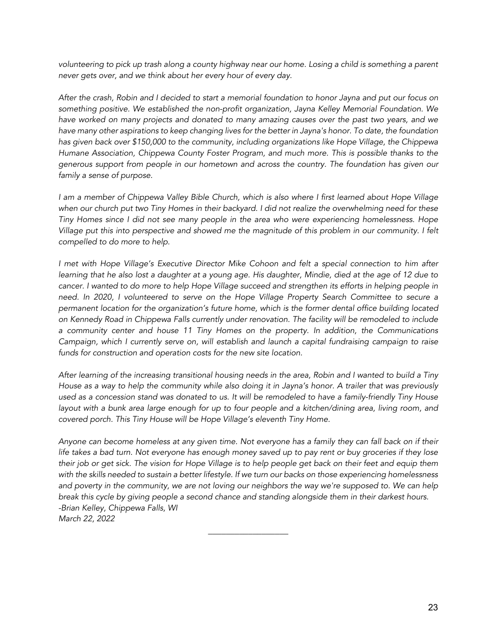*volunteering to pick up trash along a county highway near our home. Losing a child is something a parent never gets over, and we think about her every hour of every day.*

*After the crash, Robin and I decided to start a memorial foundation to honor Jayna and put our focus on something positive. We established the non-profit organization, Jayna Kelley Memorial Foundation. We have worked on many projects and donated to many amazing causes over the past two years, and we have many other aspirations to keep changing lives for the better in Jayna's honor. To date, the foundation has given back over \$150,000 to the community, including organizations like Hope Village, the Chippewa Humane Association, Chippewa County Foster Program, and much more. This is possible thanks to the generous support from people in our hometown and across the country. The foundation has given our family a sense of purpose.*

*I am a member of Chippewa Valley Bible Church, which is also where I first learned about Hope Village when our church put two Tiny Homes in their backyard. I did not realize the overwhelming need for these Tiny Homes since I did not see many people in the area who were experiencing homelessness. Hope Village put this into perspective and showed me the magnitude of this problem in our community. I felt compelled to do more to help.*

*I met with Hope Village's Executive Director Mike Cohoon and felt a special connection to him after learning that he also lost a daughter at a young age. His daughter, Mindie, died at the age of 12 due to cancer. I wanted to do more to help Hope Village succeed and strengthen its efforts in helping people in need. In 2020, I volunteered to serve on the Hope Village Property Search Committee to secure a permanent location for the organization's future home, which is the former dental office building located on Kennedy Road in Chippewa Falls currently under renovation. The facility will be remodeled to include a community center and house 11 Tiny Homes on the property. In addition, the Communications Campaign, which I currently serve on, will establish and launch a capital fundraising campaign to raise funds for construction and operation costs for the new site location.*

*After learning of the increasing transitional housing needs in the area, Robin and I wanted to build a Tiny House as a way to help the community while also doing it in Jayna's honor. A trailer that was previously used as a concession stand was donated to us. It will be remodeled to have a family-friendly Tiny House layout with a bunk area large enough for up to four people and a kitchen/dining area, living room, and covered porch. This Tiny House will be Hope Village's eleventh Tiny Home.*

*Anyone can become homeless at any given time. Not everyone has a family they can fall back on if their life takes a bad turn. Not everyone has enough money saved up to pay rent or buy groceries if they lose their job or get sick. The vision for Hope Village is to help people get back on their feet and equip them with the skills needed to sustain a better lifestyle. If we turn our backs on those experiencing homelessness and poverty in the community, we are not loving our neighbors the way we're supposed to. We can help break this cycle by giving people a second chance and standing alongside them in their darkest hours. -Brian Kelley, Chippewa Falls, WI March 22, 2022*

\_\_\_\_\_\_\_\_\_\_\_\_\_\_\_\_\_\_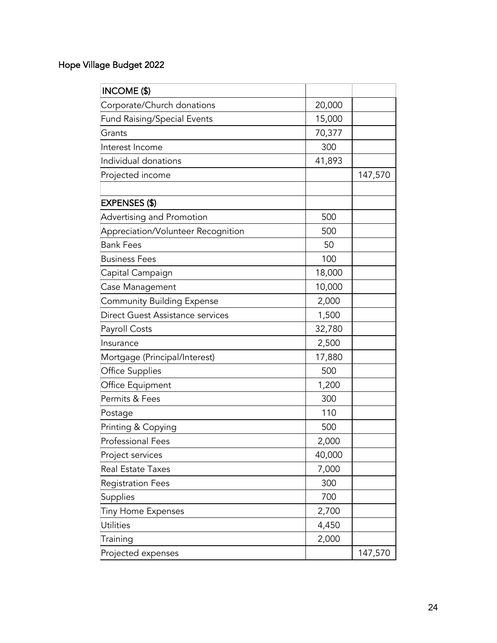# Hope Village Budget 2022

| <b>INCOME (\$)</b>                 |        |         |
|------------------------------------|--------|---------|
| Corporate/Church donations         | 20,000 |         |
| <b>Fund Raising/Special Events</b> | 15,000 |         |
| Grants                             | 70,377 |         |
| Interest Income                    | 300    |         |
| Individual donations               | 41,893 |         |
| Projected income                   |        | 147,570 |
|                                    |        |         |
| <b>EXPENSES (\$)</b>               |        |         |
| Advertising and Promotion          | 500    |         |
| Appreciation/Volunteer Recognition | 500    |         |
| <b>Bank Fees</b>                   | 50     |         |
| <b>Business Fees</b>               | 100    |         |
| Capital Campaign                   | 18,000 |         |
| Case Management                    | 10,000 |         |
| <b>Community Building Expense</b>  | 2,000  |         |
| Direct Guest Assistance services   | 1,500  |         |
| Payroll Costs                      | 32,780 |         |
| Insurance                          | 2,500  |         |
| Mortgage (Principal/Interest)      | 17,880 |         |
| <b>Office Supplies</b>             | 500    |         |
| Office Equipment                   | 1,200  |         |
| Permits & Fees                     | 300    |         |
| Postage                            | 110    |         |
| Printing & Copying                 | 500    |         |
| <b>Professional Fees</b>           | 2,000  |         |
| Project services                   | 40,000 |         |
| <b>Real Estate Taxes</b>           | 7,000  |         |
| <b>Registration Fees</b>           | 300    |         |
| Supplies                           | 700    |         |
| <b>Tiny Home Expenses</b>          | 2,700  |         |
| Utilities                          | 4,450  |         |
| Training                           | 2,000  |         |
| Projected expenses                 |        | 147,570 |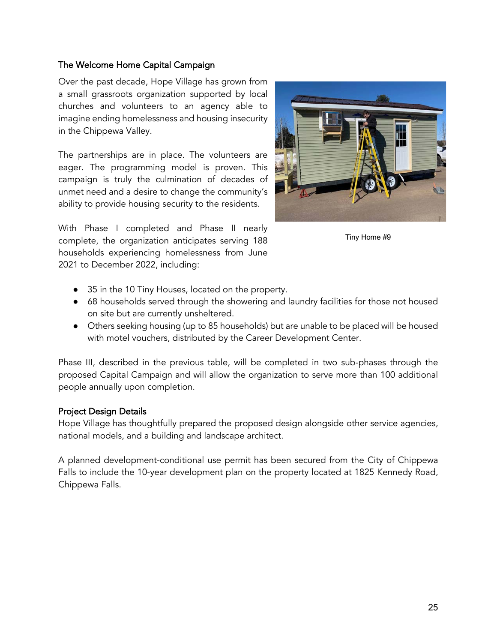### The Welcome Home Capital Campaign

Over the past decade, Hope Village has grown from a small grassroots organization supported by local churches and volunteers to an agency able to imagine ending homelessness and housing insecurity in the Chippewa Valley.

The partnerships are in place. The volunteers are eager. The programming model is proven. This campaign is truly the culmination of decades of unmet need and a desire to change the community's ability to provide housing security to the residents.

With Phase I completed and Phase II nearly complete, the organization anticipates serving 188 households experiencing homelessness from June 2021 to December 2022, including:



Tiny Home #9

- 35 in the 10 Tiny Houses, located on the property.
- 68 households served through the showering and laundry facilities for those not housed on site but are currently unsheltered.
- Others seeking housing (up to 85 households) but are unable to be placed will be housed with motel vouchers, distributed by the Career Development Center.

Phase III, described in the previous table, will be completed in two sub-phases through the proposed Capital Campaign and will allow the organization to serve more than 100 additional people annually upon completion.

#### Project Design Details

Hope Village has thoughtfully prepared the proposed design alongside other service agencies, national models, and a building and landscape architect.

A planned development-conditional use permit has been secured from the City of Chippewa Falls to include the 10-year development plan on the property located at 1825 Kennedy Road, Chippewa Falls.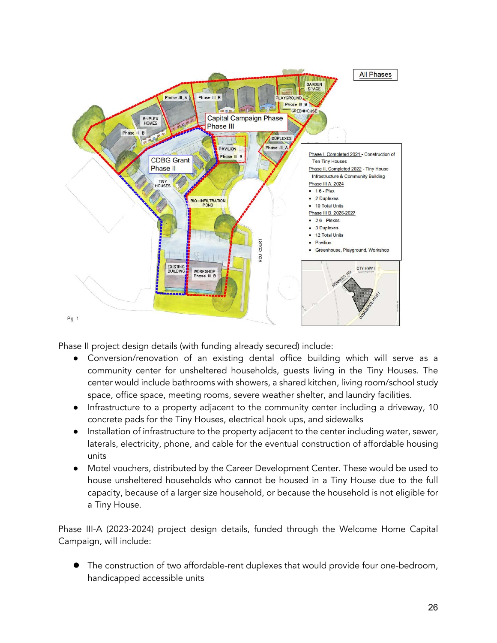

Phase II project design details (with funding already secured) include:

- Conversion/renovation of an existing dental office building which will serve as a community center for unsheltered households, guests living in the Tiny Houses. The center would include bathrooms with showers, a shared kitchen, living room/school study space, office space, meeting rooms, severe weather shelter, and laundry facilities.
- Infrastructure to a property adjacent to the community center including a driveway, 10 concrete pads for the Tiny Houses, electrical hook ups, and sidewalks
- Installation of infrastructure to the property adjacent to the center including water, sewer, laterals, electricity, phone, and cable for the eventual construction of affordable housing units
- Motel vouchers, distributed by the Career Development Center. These would be used to house unsheltered households who cannot be housed in a Tiny House due to the full capacity, because of a larger size household, or because the household is not eligible for a Tiny House.

Phase III-A (2023-2024) project design details, funded through the Welcome Home Capital Campaign, will include:

The construction of two affordable-rent duplexes that would provide four one-bedroom, handicapped accessible units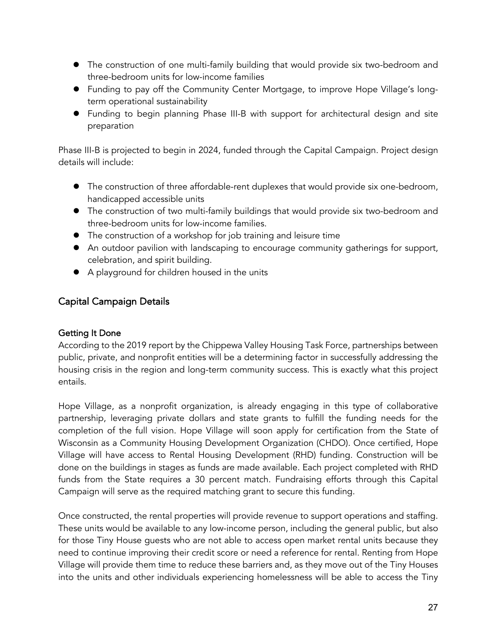- The construction of one multi-family building that would provide six two-bedroom and three-bedroom units for low-income families
- l Funding to pay off the Community Center Mortgage, to improve Hope Village's longterm operational sustainability
- Funding to begin planning Phase III-B with support for architectural design and site preparation

Phase III-B is projected to begin in 2024, funded through the Capital Campaign. Project design details will include:

- **The construction of three affordable-rent duplexes that would provide six one-bedroom,** handicapped accessible units
- The construction of two multi-family buildings that would provide six two-bedroom and three-bedroom units for low-income families.
- The construction of a workshop for job training and leisure time
- An outdoor pavilion with landscaping to encourage community gatherings for support, celebration, and spirit building.
- A playground for children housed in the units

## Capital Campaign Details

### Getting It Done

According to the 2019 report by the Chippewa Valley Housing Task Force, partnerships between public, private, and nonprofit entities will be a determining factor in successfully addressing the housing crisis in the region and long-term community success. This is exactly what this project entails.

Hope Village, as a nonprofit organization, is already engaging in this type of collaborative partnership, leveraging private dollars and state grants to fulfill the funding needs for the completion of the full vision. Hope Village will soon apply for certification from the State of Wisconsin as a Community Housing Development Organization (CHDO). Once certified, Hope Village will have access to Rental Housing Development (RHD) funding. Construction will be done on the buildings in stages as funds are made available. Each project completed with RHD funds from the State requires a 30 percent match. Fundraising efforts through this Capital Campaign will serve as the required matching grant to secure this funding.

Once constructed, the rental properties will provide revenue to support operations and staffing. These units would be available to any low-income person, including the general public, but also for those Tiny House guests who are not able to access open market rental units because they need to continue improving their credit score or need a reference for rental. Renting from Hope Village will provide them time to reduce these barriers and, as they move out of the Tiny Houses into the units and other individuals experiencing homelessness will be able to access the Tiny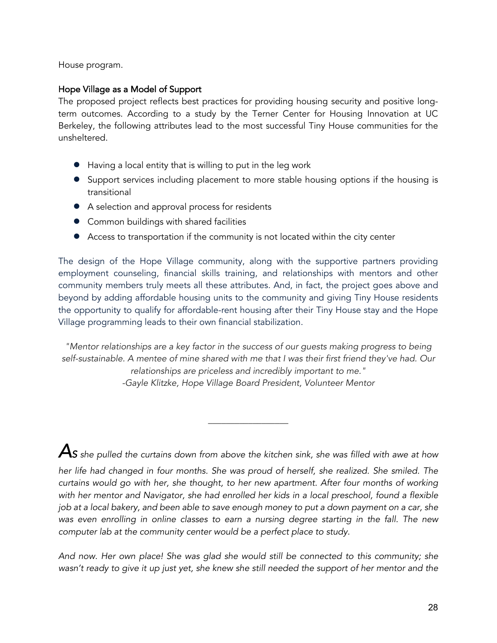House program.

#### Hope Village as a Model of Support

The proposed project reflects best practices for providing housing security and positive longterm outcomes. According to a study by the Terner Center for Housing Innovation at UC Berkeley, the following attributes lead to the most successful Tiny House communities for the unsheltered.

- Having a local entity that is willing to put in the leg work
- Support services including placement to more stable housing options if the housing is transitional
- A selection and approval process for residents
- Common buildings with shared facilities
- Access to transportation if the community is not located within the city center

The design of the Hope Village community, along with the supportive partners providing employment counseling, financial skills training, and relationships with mentors and other community members truly meets all these attributes. And, in fact, the project goes above and beyond by adding affordable housing units to the community and giving Tiny House residents the opportunity to qualify for affordable-rent housing after their Tiny House stay and the Hope Village programming leads to their own financial stabilization.

*"Mentor relationships are a key factor in the success of our guests making progress to being self-sustainable. A mentee of mine shared with me that I was their first friend they've had. Our relationships are priceless and incredibly important to me." -Gayle Klitzke, Hope Village Board President, Volunteer Mentor*

*AS she pulled the curtains down from above the kitchen sink, she was filled with awe at how* 

 $\overline{\phantom{a}}$  , where  $\overline{\phantom{a}}$ 

*her life had changed in four months. She was proud of herself, she realized. She smiled. The curtains would go with her, she thought, to her new apartment. After four months of working with her mentor and Navigator, she had enrolled her kids in a local preschool, found a flexible job at a local bakery, and been able to save enough money to put a down payment on a car, she was even enrolling in online classes to earn a nursing degree starting in the fall. The new computer lab at the community center would be a perfect place to study.* 

*And now. Her own place! She was glad she would still be connected to this community; she wasn't ready to give it up just yet, she knew she still needed the support of her mentor and the*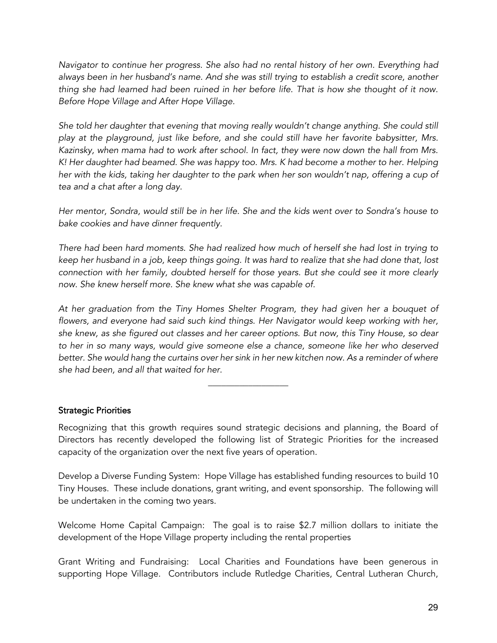*Navigator to continue her progress. She also had no rental history of her own. Everything had always been in her husband's name. And she was still trying to establish a credit score, another thing she had learned had been ruined in her before life. That is how she thought of it now. Before Hope Village and After Hope Village.* 

*She told her daughter that evening that moving really wouldn't change anything. She could still play at the playground, just like before, and she could still have her favorite babysitter, Mrs. Kazinsky, when mama had to work after school. In fact, they were now down the hall from Mrs. K! Her daughter had beamed. She was happy too. Mrs. K had become a mother to her. Helping her with the kids, taking her daughter to the park when her son wouldn't nap, offering a cup of tea and a chat after a long day.* 

*Her mentor, Sondra, would still be in her life. She and the kids went over to Sondra's house to bake cookies and have dinner frequently.* 

*There had been hard moments. She had realized how much of herself she had lost in trying to keep her husband in a job, keep things going. It was hard to realize that she had done that, lost connection with her family, doubted herself for those years. But she could see it more clearly now. She knew herself more. She knew what she was capable of.*

*At her graduation from the Tiny Homes Shelter Program, they had given her a bouquet of*  flowers, and everyone had said such kind things. Her Navigator would keep working with her, *she knew, as she figured out classes and her career options. But now, this Tiny House, so dear to her in so many ways, would give someone else a chance, someone like her who deserved better. She would hang the curtains over her sink in her new kitchen now. As a reminder of where she had been, and all that waited for her.* 

 $\overline{\phantom{a}}$  , where  $\overline{\phantom{a}}$ 

#### Strategic Priorities

Recognizing that this growth requires sound strategic decisions and planning, the Board of Directors has recently developed the following list of Strategic Priorities for the increased capacity of the organization over the next five years of operation.

Develop a Diverse Funding System: Hope Village has established funding resources to build 10 Tiny Houses. These include donations, grant writing, and event sponsorship. The following will be undertaken in the coming two years.

Welcome Home Capital Campaign: The goal is to raise \$2.7 million dollars to initiate the development of the Hope Village property including the rental properties

Grant Writing and Fundraising: Local Charities and Foundations have been generous in supporting Hope Village. Contributors include Rutledge Charities, Central Lutheran Church,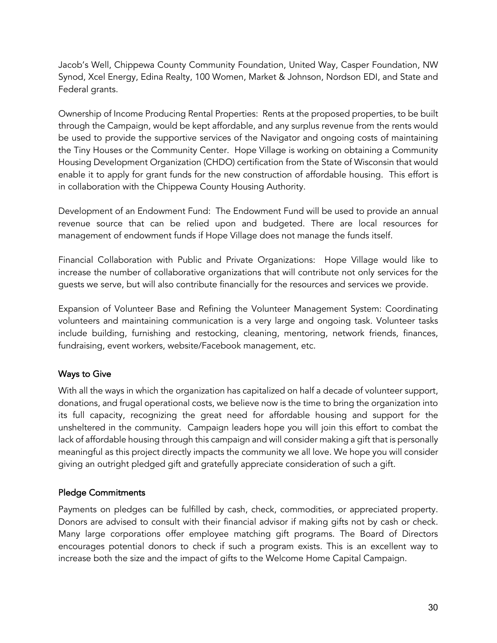Jacob's Well, Chippewa County Community Foundation, United Way, Casper Foundation, NW Synod, Xcel Energy, Edina Realty, 100 Women, Market & Johnson, Nordson EDI, and State and Federal grants.

Ownership of Income Producing Rental Properties: Rents at the proposed properties, to be built through the Campaign, would be kept affordable, and any surplus revenue from the rents would be used to provide the supportive services of the Navigator and ongoing costs of maintaining the Tiny Houses or the Community Center. Hope Village is working on obtaining a Community Housing Development Organization (CHDO) certification from the State of Wisconsin that would enable it to apply for grant funds for the new construction of affordable housing. This effort is in collaboration with the Chippewa County Housing Authority.

Development of an Endowment Fund: The Endowment Fund will be used to provide an annual revenue source that can be relied upon and budgeted. There are local resources for management of endowment funds if Hope Village does not manage the funds itself.

Financial Collaboration with Public and Private Organizations: Hope Village would like to increase the number of collaborative organizations that will contribute not only services for the guests we serve, but will also contribute financially for the resources and services we provide.

Expansion of Volunteer Base and Refining the Volunteer Management System: Coordinating volunteers and maintaining communication is a very large and ongoing task. Volunteer tasks include building, furnishing and restocking, cleaning, mentoring, network friends, finances, fundraising, event workers, website/Facebook management, etc.

### Ways to Give

With all the ways in which the organization has capitalized on half a decade of volunteer support, donations, and frugal operational costs, we believe now is the time to bring the organization into its full capacity, recognizing the great need for affordable housing and support for the unsheltered in the community. Campaign leaders hope you will join this effort to combat the lack of affordable housing through this campaign and will consider making a gift that is personally meaningful as this project directly impacts the community we all love. We hope you will consider giving an outright pledged gift and gratefully appreciate consideration of such a gift.

### Pledge Commitments

Payments on pledges can be fulfilled by cash, check, commodities, or appreciated property. Donors are advised to consult with their financial advisor if making gifts not by cash or check. Many large corporations offer employee matching gift programs. The Board of Directors encourages potential donors to check if such a program exists. This is an excellent way to increase both the size and the impact of gifts to the Welcome Home Capital Campaign.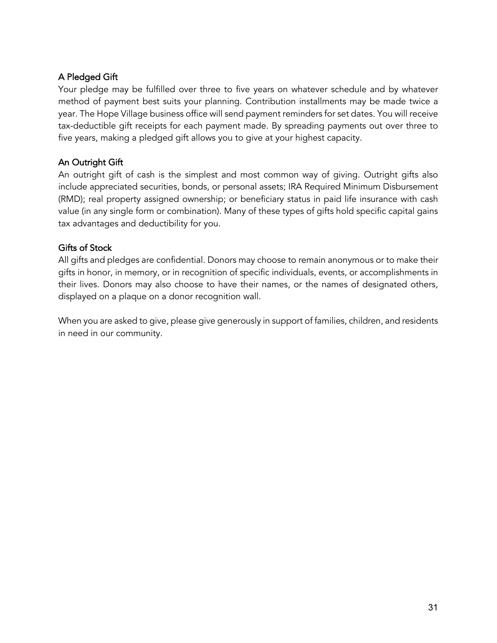### A Pledged Gift

Your pledge may be fulfilled over three to five years on whatever schedule and by whatever method of payment best suits your planning. Contribution installments may be made twice a year. The Hope Village business office will send payment reminders for set dates. You will receive tax-deductible gift receipts for each payment made. By spreading payments out over three to five years, making a pledged gift allows you to give at your highest capacity.

### An Outright Gift

An outright gift of cash is the simplest and most common way of giving. Outright gifts also include appreciated securities, bonds, or personal assets; IRA Required Minimum Disbursement (RMD); real property assigned ownership; or beneficiary status in paid life insurance with cash value (in any single form or combination). Many of these types of gifts hold specific capital gains tax advantages and deductibility for you.

#### Gifts of Stock

All gifts and pledges are confidential. Donors may choose to remain anonymous or to make their gifts in honor, in memory, or in recognition of specific individuals, events, or accomplishments in their lives. Donors may also choose to have their names, or the names of designated others, displayed on a plaque on a donor recognition wall.

When you are asked to give, please give generously in support of families, children, and residents in need in our community.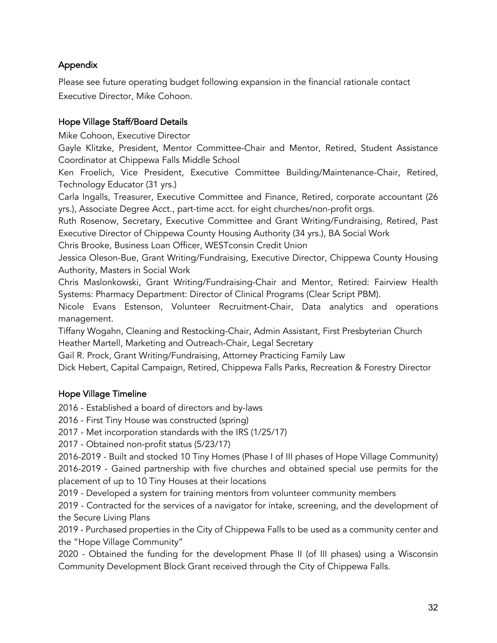## Appendix

Please see future operating budget following expansion in the financial rationale contact Executive Director, Mike Cohoon.

### Hope Village Staff/Board Details

Mike Cohoon, Executive Director

Gayle Klitzke, President, Mentor Committee-Chair and Mentor, Retired, Student Assistance Coordinator at Chippewa Falls Middle School

Ken Froelich, Vice President, Executive Committee Building/Maintenance-Chair, Retired, Technology Educator (31 yrs.)

Carla Ingalls, Treasurer, Executive Committee and Finance, Retired, corporate accountant (26 yrs.), Associate Degree Acct., part-time acct. for eight churches/non-profit orgs.

Ruth Rosenow, Secretary, Executive Committee and Grant Writing/Fundraising, Retired, Past Executive Director of Chippewa County Housing Authority (34 yrs.), BA Social Work

Chris Brooke, Business Loan Officer, WESTconsin Credit Union

Jessica Oleson-Bue, Grant Writing/Fundraising, Executive Director, Chippewa County Housing Authority, Masters in Social Work

Chris Maslonkowski, Grant Writing/Fundraising-Chair and Mentor, Retired: Fairview Health Systems: Pharmacy Department: Director of Clinical Programs (Clear Script PBM).

Nicole Evans Estenson, Volunteer Recruitment-Chair, Data analytics and operations management.

Tiffany Wogahn, Cleaning and Restocking-Chair, Admin Assistant, First Presbyterian Church Heather Martell, Marketing and Outreach-Chair, Legal Secretary

Gail R. Prock, Grant Writing/Fundraising, Attorney Practicing Family Law

Dick Hebert, Capital Campaign, Retired, Chippewa Falls Parks, Recreation & Forestry Director

### Hope Village Timeline

2016 - Established a board of directors and by-laws

2016 - First Tiny House was constructed (spring)

2017 - Met incorporation standards with the IRS (1/25/17)

2017 - Obtained non-profit status (5/23/17)

2016-2019 - Built and stocked 10 Tiny Homes (Phase I of III phases of Hope Village Community) 2016-2019 - Gained partnership with five churches and obtained special use permits for the placement of up to 10 Tiny Houses at their locations

2019 - Developed a system for training mentors from volunteer community members

2019 - Contracted for the services of a navigator for intake, screening, and the development of the Secure Living Plans

2019 - Purchased properties in the City of Chippewa Falls to be used as a community center and the "Hope Village Community"

2020 - Obtained the funding for the development Phase II (of III phases) using a Wisconsin Community Development Block Grant received through the City of Chippewa Falls.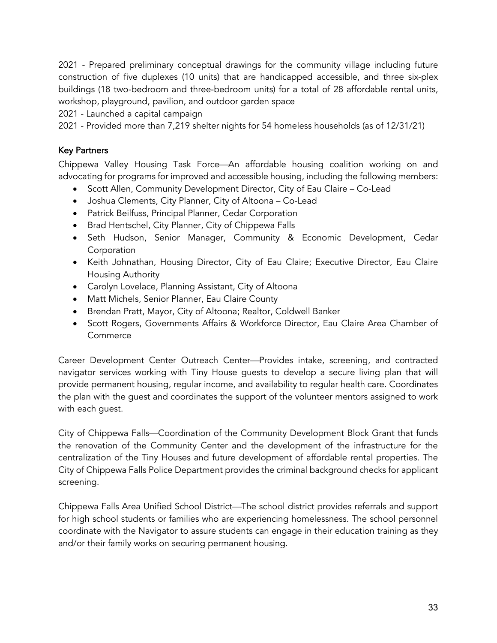2021 - Prepared preliminary conceptual drawings for the community village including future construction of five duplexes (10 units) that are handicapped accessible, and three six-plex buildings (18 two-bedroom and three-bedroom units) for a total of 28 affordable rental units, workshop, playground, pavilion, and outdoor garden space

2021 - Launched a capital campaign

2021 - Provided more than 7,219 shelter nights for 54 homeless households (as of 12/31/21)

### Key Partners

Chippewa Valley Housing Task Force—An affordable housing coalition working on and advocating for programs for improved and accessible housing, including the following members:

- Scott Allen, Community Development Director, City of Eau Claire Co-Lead
- Joshua Clements, City Planner, City of Altoona Co-Lead
- Patrick Beilfuss, Principal Planner, Cedar Corporation
- Brad Hentschel, City Planner, City of Chippewa Falls
- Seth Hudson, Senior Manager, Community & Economic Development, Cedar **Corporation**
- Keith Johnathan, Housing Director, City of Eau Claire; Executive Director, Eau Claire Housing Authority
- Carolyn Lovelace, Planning Assistant, City of Altoona
- Matt Michels, Senior Planner, Eau Claire County
- Brendan Pratt, Mayor, City of Altoona; Realtor, Coldwell Banker
- Scott Rogers, Governments Affairs & Workforce Director, Eau Claire Area Chamber of Commerce

Career Development Center Outreach Center—Provides intake, screening, and contracted navigator services working with Tiny House guests to develop a secure living plan that will provide permanent housing, regular income, and availability to regular health care. Coordinates the plan with the guest and coordinates the support of the volunteer mentors assigned to work with each guest.

City of Chippewa Falls—Coordination of the Community Development Block Grant that funds the renovation of the Community Center and the development of the infrastructure for the centralization of the Tiny Houses and future development of affordable rental properties. The City of Chippewa Falls Police Department provides the criminal background checks for applicant screening.

Chippewa Falls Area Unified School District—The school district provides referrals and support for high school students or families who are experiencing homelessness. The school personnel coordinate with the Navigator to assure students can engage in their education training as they and/or their family works on securing permanent housing.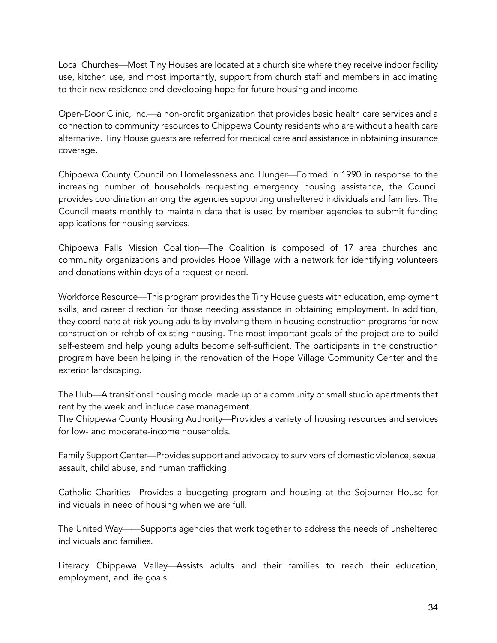Local Churches—Most Tiny Houses are located at a church site where they receive indoor facility use, kitchen use, and most importantly, support from church staff and members in acclimating to their new residence and developing hope for future housing and income.

Open-Door Clinic, Inc.—a non-profit organization that provides basic health care services and a connection to community resources to Chippewa County residents who are without a health care alternative. Tiny House guests are referred for medical care and assistance in obtaining insurance coverage.

Chippewa County Council on Homelessness and Hunger—Formed in 1990 in response to the increasing number of households requesting emergency housing assistance, the Council provides coordination among the agencies supporting unsheltered individuals and families. The Council meets monthly to maintain data that is used by member agencies to submit funding applications for housing services.

Chippewa Falls Mission Coalition—The Coalition is composed of 17 area churches and community organizations and provides Hope Village with a network for identifying volunteers and donations within days of a request or need.

Workforce Resource—This program provides the Tiny House guests with education, employment skills, and career direction for those needing assistance in obtaining employment. In addition, they coordinate at-risk young adults by involving them in housing construction programs for new construction or rehab of existing housing. The most important goals of the project are to build self-esteem and help young adults become self-sufficient. The participants in the construction program have been helping in the renovation of the Hope Village Community Center and the exterior landscaping.

The Hub—A transitional housing model made up of a community of small studio apartments that rent by the week and include case management.

The Chippewa County Housing Authority—Provides a variety of housing resources and services for low- and moderate-income households.

Family Support Center—Provides support and advocacy to survivors of domestic violence, sexual assault, child abuse, and human trafficking.

Catholic Charities—Provides a budgeting program and housing at the Sojourner House for individuals in need of housing when we are full.

The United Way——Supports agencies that work together to address the needs of unsheltered individuals and families.

Literacy Chippewa Valley—Assists adults and their families to reach their education, employment, and life goals.